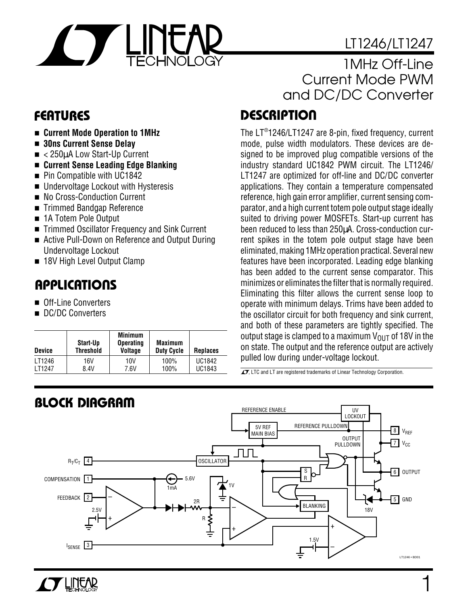# LT1246/LT1247

1

### 1MHz Off-Line Current Mode PWM and DC/DC Converter

# **D <sup>U</sup> FEATURES ESCRIPTIO**

The LT®1246/LT1247 are 8-pin, fixed frequency, current mode, pulse width modulators. These devices are designed to be improved plug compatible versions of the industry standard UC1842 PWM circuit. The LT1246/ LT1247 are optimized for off-line and DC/DC converter applications. They contain a temperature compensated reference, high gain error amplifier, current sensing comparator, and a high current totem pole output stage ideally suited to driving power MOSFETs. Start-up current has been reduced to less than 250µA. Cross-conduction current spikes in the totem pole output stage have been eliminated, making 1MHz operation practical. Several new features have been incorporated. Leading edge blanking has been added to the current sense comparator. This minimizes or eliminates the filter that is normally required. Eliminating this filter allows the current sense loop to operate with minimum delays. Trims have been added to the oscillator circuit for both frequency and sink current, and both of these parameters are tightly specified. The output stage is clamped to a maximum  $V_{OIIT}$  of 18V in the on state. The output and the reference output are actively pulled low during under-voltage lockout.

 $\overline{\mathcal{I}}$ , LTC and LT are registered trademarks of Linear Technology Corporation.



- **Current Mode Operation to 1MHz**
- **30ns Current Sense Delay**
- < 250µA Low Start-Up Current
- **Current Sense Leading Edge Blanking**
- Pin Compatible with UC1842
- Undervoltage Lockout with Hysteresis
- No Cross-Conduction Current
- Trimmed Bandgap Reference
- 1A Totem Pole Output
- Trimmed Oscillator Frequency and Sink Current
- Active Pull-Down on Reference and Output During Undervoltage Lockout
- 18V High Level Output Clamp

# **U A S O PPLICATI**

- Off-Line Converters
- DC/DC Converters

**TY LINEAR** 

| <b>Device</b>       | Start-Up<br><b>Threshold</b> | <b>Minimum</b><br><b>Operating</b><br><b>Voltage</b> | <b>Maximum</b><br><b>Duty Cycle</b> | <b>Replaces</b> |
|---------------------|------------------------------|------------------------------------------------------|-------------------------------------|-----------------|
| LT1246              | 16V                          | 10V                                                  | 100%                                | <b>UC1842</b>   |
| I T <sub>1247</sub> | 8.4V                         | 7.6V                                                 | 100%                                | UC1843          |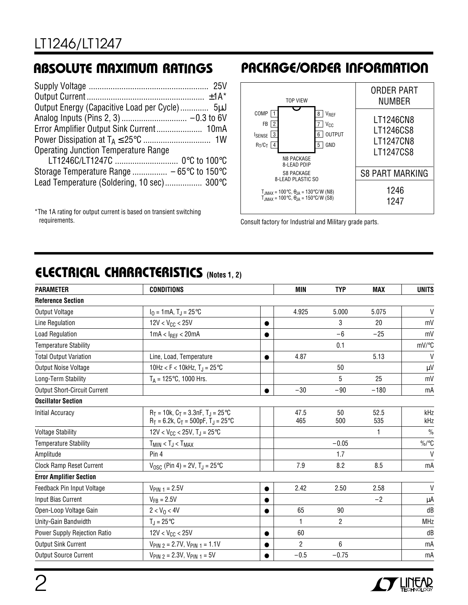| Error Amplifier Output Sink Current 10mA    |  |
|---------------------------------------------|--|
|                                             |  |
| <b>Operating Junction Temperature Range</b> |  |
|                                             |  |
|                                             |  |
| Lead Temperature (Soldering, 10 sec) 300°C  |  |
|                                             |  |

\*The 1A rating for output current is based on transient switching requirements.

## **ABSOLUTE MAXIMUM RATINGS PACKAGE/ORDER INFORMATION**



Consult factory for Industrial and Military grade parts.

# **ELECTRICAL CHARACTERISTICS** (Notes 1, 2)

| <b>PARAMETER</b>                    | <b>CONDITIONS</b>                                                                         |           | <b>MIN</b>     | <b>TYP</b>     | <b>MAX</b>  | <b>UNITS</b>  |
|-------------------------------------|-------------------------------------------------------------------------------------------|-----------|----------------|----------------|-------------|---------------|
| <b>Reference Section</b>            |                                                                                           |           |                |                |             |               |
| Output Voltage                      | $I_0 = 1 \text{mA}, T_1 = 25^{\circ}\text{C}$                                             |           | 4.925          | 5.000          | 5.075       | V             |
| Line Regulation                     | $12V < V_{CC} < 25V$                                                                      | $\bullet$ |                | 3              | 20          | mV            |
| <b>Load Regulation</b>              | $1mA < I_{REF} < 20mA$                                                                    | $\bullet$ |                | $-6$           | $-25$       | mV            |
| <b>Temperature Stability</b>        |                                                                                           |           |                | 0.1            |             | mV/°C         |
| <b>Total Output Variation</b>       | Line, Load, Temperature                                                                   | $\bullet$ | 4.87           |                | 5.13        | $\mathsf{V}$  |
| <b>Output Noise Voltage</b>         | 10Hz < F < 10kHz, $T_{J}$ = 25 $^{\circ}$ C                                               |           |                | 50             |             | $\mu V$       |
| Long-Term Stability                 | $T_A = 125^{\circ}$ C, 1000 Hrs.                                                          |           |                | 5              | 25          | mV            |
| <b>Output Short-Circuit Current</b> |                                                                                           | $\bullet$ | $-30$          | $-90$          | $-180$      | mA            |
| <b>Oscillator Section</b>           |                                                                                           |           |                |                |             |               |
| <b>Initial Accuracy</b>             | $R_T = 10k$ , $C_T = 3.3nF$ , $T_J = 25°C$<br>$R_T = 6.2k$ , $C_T = 500pF$ , $T_J = 25°C$ |           | 47.5<br>465    | 50<br>500      | 52.5<br>535 | kHz<br>kHz    |
| <b>Voltage Stability</b>            | $12V < V_{CC} < 25V$ , T <sub>J</sub> = 25°C                                              |           |                |                | 1           | $\frac{0}{0}$ |
| <b>Temperature Stability</b>        | $T_{MIN}$ < $T_J$ < $T_{MAX}$                                                             |           |                | $-0.05$        |             | $\%$ /°C      |
| Amplitude                           | Pin 4                                                                                     |           |                | 1.7            |             | $\mathsf{V}$  |
| <b>Clock Ramp Reset Current</b>     | $V_{\text{OSC}}$ (Pin 4) = 2V, T <sub>J</sub> = 25°C                                      |           | 7.9            | 8.2            | 8.5         | mA            |
| <b>Error Amplifier Section</b>      |                                                                                           |           |                |                |             |               |
| Feedback Pin Input Voltage          | $V_{PIN 1} = 2.5V$                                                                        | $\bullet$ | 2.42           | 2.50           | 2.58        | V             |
| Input Bias Current                  | $V_{FB} = 2.5V$                                                                           |           |                |                | $-2$        | $\mu$ A       |
| Open-Loop Voltage Gain              | $2 < V_0 < 4V$                                                                            |           | 65             | 90             |             | dB            |
| Unity-Gain Bandwidth                | $T_{\rm J} = 25^{\circ}C$                                                                 |           | 1              | $\overline{2}$ |             | <b>MHz</b>    |
| Power Supply Rejection Ratio        | $12V < V_{CC} < 25V$                                                                      | $\bullet$ | 60             |                |             | dB            |
| <b>Output Sink Current</b>          | $V_{PIN 2} = 2.7V, V_{PIN 1} = 1.1V$                                                      |           | $\overline{c}$ | 6              |             | mA            |
| <b>Output Source Current</b>        | $V_{\text{PIN 2}} = 2.3V, V_{\text{PIN 1}} = 5V$                                          | $\bullet$ | $-0.5$         | $-0.75$        |             | mA            |

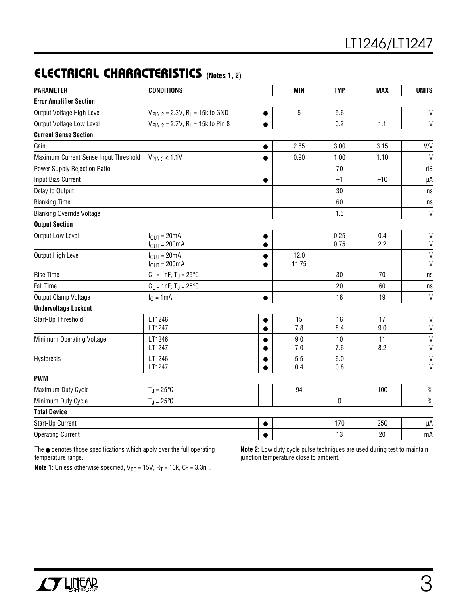# **ELECTRICAL CHARACTERISTICS** (Notes 1, 2)

| <b>PARAMETER</b>                      | <b>CONDITIONS</b>                                    |                        | <b>MIN</b>    | <b>TYP</b>   | <b>MAX</b> | <b>UNITS</b>                 |
|---------------------------------------|------------------------------------------------------|------------------------|---------------|--------------|------------|------------------------------|
| <b>Error Amplifier Section</b>        |                                                      |                        |               |              |            |                              |
| Output Voltage High Level             | $V_{PIN 2} = 2.3V, R_L = 15k$ to GND                 | $\bullet$              | 5             | 5.6          |            | $\sf V$                      |
| Output Voltage Low Level              | $V_{PIN 2} = 2.7V$ , R <sub>L</sub> = 15k to Pin 8   | $\bullet$              |               | 0.2          | 1.1        | $\mathsf{V}$                 |
| <b>Current Sense Section</b>          |                                                      |                        |               |              |            |                              |
| Gain                                  |                                                      | $\bullet$              | 2.85          | 3.00         | 3.15       | V/V                          |
| Maximum Current Sense Input Threshold | $V_{PIN\,3} < 1.1V$                                  | $\bullet$              | 0.90          | 1.00         | 1.10       | $\mathsf{V}$                 |
| Power Supply Rejection Ratio          |                                                      |                        |               | 70           |            | dB                           |
| Input Bias Current                    |                                                      | $\bullet$              |               | $-1$         | $-10$      | μA                           |
| Delay to Output                       |                                                      |                        |               | 30           |            | ns                           |
| <b>Blanking Time</b>                  |                                                      |                        |               | 60           |            | ns                           |
| <b>Blanking Override Voltage</b>      |                                                      |                        |               | 1.5          |            | $\ensuremath{\mathsf{V}}$    |
| <b>Output Section</b>                 |                                                      |                        |               |              |            |                              |
| <b>Output Low Level</b>               | $I_{OUT} = 20mA$<br>$I_{OUT} = 200mA$                |                        |               | 0.25<br>0.75 | 0.4<br>2.2 | $\mathsf{V}$<br>$\sf V$      |
| Output High Level                     | $I_{\text{OUT}} = 20 \text{mA}$<br>$I_{OUT} = 200mA$ |                        | 12.0<br>11.75 |              |            | $\mathsf{V}$<br>$\mathsf{V}$ |
| <b>Rise Time</b>                      | $C_L = 1nF, T_J = 25^{\circ}C$                       |                        |               | 30           | 70         | $\operatorname{\sf ns}$      |
| <b>Fall Time</b>                      | $C_L = 1nF, T_J = 25^{\circ}C$                       |                        |               | 20           | 60         | ns                           |
| Output Clamp Voltage                  | $I_0 = 1 mA$                                         | $\bullet$              |               | 18           | 19         | $\mathsf{V}$                 |
| <b>Undervoltage Lockout</b>           |                                                      |                        |               |              |            |                              |
| Start-Up Threshold                    | LT1246<br>LT1247                                     | $\bullet$<br>$\bullet$ | 15<br>7.8     | 16<br>8.4    | 17<br>9.0  | $\mathsf{V}$<br>V            |
| Minimum Operating Voltage             | LT1246<br>LT1247                                     |                        | 9.0<br>7.0    | 10<br>7.6    | 11<br>8.2  | $\mathsf{V}$<br>$\sf V$      |
| Hysteresis                            | LT1246<br>LT1247                                     | $\bullet$              | 5.5<br>0.4    | 6.0<br>0.8   |            | $\mathsf{V}$<br>V            |
| <b>PWM</b>                            |                                                      |                        |               |              |            |                              |
| Maximum Duty Cycle                    | $T_J = 25^{\circ}C$                                  |                        | 94            |              | 100        | $\frac{0}{0}$                |
| Minimum Duty Cycle                    | $T_J = 25^{\circ}C$                                  |                        |               | 0            |            | $\frac{0}{0}$                |
| <b>Total Device</b>                   |                                                      |                        |               |              |            |                              |
| Start-Up Current                      |                                                      | $\bullet$              |               | 170          | 250        | μA                           |
| <b>Operating Current</b>              |                                                      | $\bullet$              |               | 13           | 20         | mA                           |

The ● denotes those specifications which apply over the full operating temperature range.

**Note 2:** Low duty cycle pulse techniques are used during test to maintain junction temperature close to ambient.

**Note 1:** Unless otherwise specified,  $V_{CC} = 15V$ ,  $R_T = 10k$ ,  $C_T = 3.3nF$ .

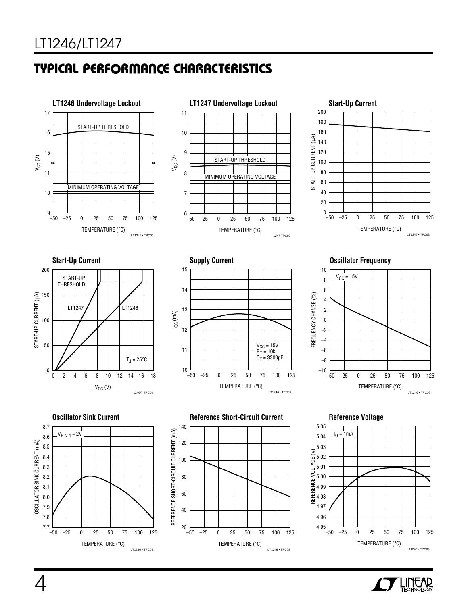# **C C HARA TERISTICS U W TYPICAL PERFOR A CE**



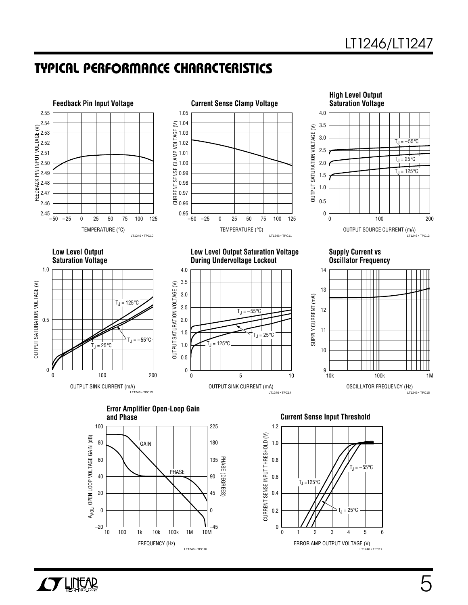### **C C HARA TERISTICS U W TYPICAL PERFOR A CE**









**Low Level Output Low Level Output Saturation Voltage Supply Current vs During Undervoltage Lockout** 





**Error Amplifier Open-Loop Gain**



**Current Sense Input Threshold** 



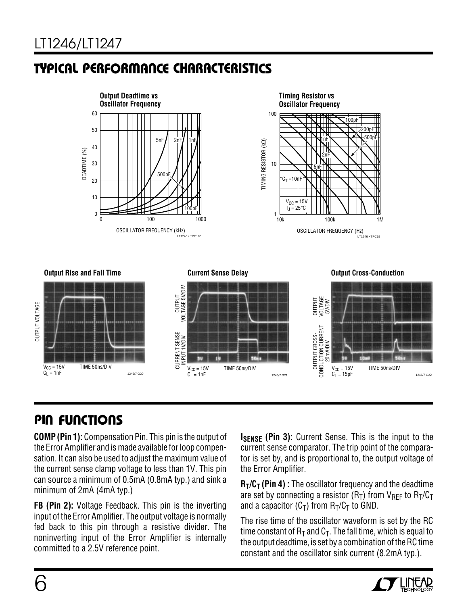# **C C HARA TERISTICS U W TYPICAL PERFOR A CE**





**Output Rise and Fall Time Current Sense Delay Output Cross-Conduction**



# **PIN FUNCTIONS**

 $V_{CC}$  = 15V TIME 50ns/DIV

 $C_L = 1nF$  1246/7 G20

**COMP (Pin 1):** Compensation Pin. This pin is the output of the Error Amplifier and is made available for loop compensation. It can also be used to adjust the maximum value of the current sense clamp voltage to less than 1V. This pin can source a minimum of 0.5mA (0.8mA typ.) and sink a minimum of 2mA (4mA typ.)

**FB (Pin 2):** Voltage Feedback. This pin is the inverting input of the Error Amplifier. The output voltage is normally fed back to this pin through a resistive divider. The noninverting input of the Error Amplifier is internally committed to a 2.5V reference point.

**ISENSE (Pin 3):** Current Sense. This is the input to the current sense comparator. The trip point of the comparator is set by, and is proportional to, the output voltage of the Error Amplifier.

**R<sub>T</sub>/C<sub>T</sub>** (Pin 4) : The oscillator frequency and the deadtime are set by connecting a resistor  $(R_T)$  from  $V_{REF}$  to  $R_T/C_T$ and a capacitor  $(C_T)$  from  $R_T/C_T$  to GND.

The rise time of the oscillator waveform is set by the RC time constant of  $R_T$  and  $C_T$ . The fall time, which is equal to the output deadtime, is set by a combination of the RC time constant and the oscillator sink current (8.2mA typ.).



OUTPUT VOLTAGE

**JUTPUT VOLTAGE**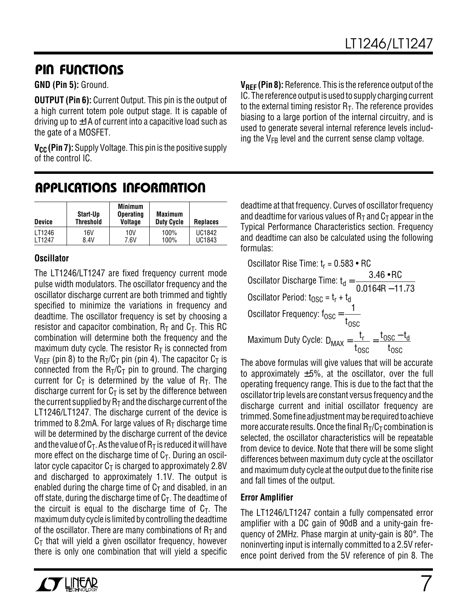## **PIN FUNCTIONS**

#### **GND (Pin 5):** Ground.

**OUTPUT (Pin 6):** Current Output. This pin is the output of a high current totem pole output stage. It is capable of driving up to  $\pm$ 1A of current into a capacitive load such as the gate of a MOSFET.

**V<sub>CC</sub>** (Pin 7): Supply Voltage. This pin is the positive supply of the control IC.

**VREF (Pin 8):** Reference. This is the reference output of the IC. The reference output is used to supply charging current to the external timing resistor  $R_T$ . The reference provides biasing to a large portion of the internal circuitry, and is used to generate several internal reference levels including the  $V_{FB}$  level and the current sense clamp voltage.

### **U A S O PPLICATI W U U I FOR ATIO**

| <b>Device</b> | Start-Up<br><b>Threshold</b> | <b>Minimum</b><br><b>Operating</b><br>Voltage | <b>Maximum</b><br><b>Duty Cycle</b> | <b>Replaces</b> |
|---------------|------------------------------|-----------------------------------------------|-------------------------------------|-----------------|
| LT1246        | 16V                          | 10V                                           | 100%                                | <b>UC1842</b>   |
| <b>IT1247</b> | 8.4V                         | 7.6V                                          | 100%                                | UC1843          |

#### **Oscillator**

The LT1246/LT1247 are fixed frequency current mode pulse width modulators. The oscillator frequency and the oscillator discharge current are both trimmed and tightly specified to minimize the variations in frequency and deadtime. The oscillator frequency is set by choosing a resistor and capacitor combination,  $R_T$  and  $C_T$ . This RC combination will determine both the frequency and the maximum duty cycle. The resistor  $R<sub>T</sub>$  is connected from  $V_{\text{RFF}}$  (pin 8) to the R<sub>T</sub>/C<sub>T</sub> pin (pin 4). The capacitor C<sub>T</sub> is connected from the  $R_T/C_T$  pin to ground. The charging current for  $C_T$  is determined by the value of  $R_T$ . The discharge current for  $C_T$  is set by the difference between the current supplied by  $R<sub>T</sub>$  and the discharge current of the LT1246/LT1247. The discharge current of the device is trimmed to 8.2mA. For large values of  $R<sub>T</sub>$  discharge time will be determined by the discharge current of the device and the value of  $C_T$ . As the value of  $R_T$  is reduced it will have more effect on the discharge time of  $C<sub>T</sub>$ . During an oscillator cycle capacitor  $C_T$  is charged to approximately 2.8V and discharged to approximately 1.1V. The output is enabled during the charge time of  $C<sub>T</sub>$  and disabled, in an off state, during the discharge time of  $C<sub>T</sub>$ . The deadtime of the circuit is equal to the discharge time of  $C_T$ . The maximum duty cycle is limited by controlling the deadtime of the oscillator. There are many combinations of  $R<sub>T</sub>$  and  $C<sub>T</sub>$  that will yield a given oscillator frequency, however there is only one combination that will yield a specific

deadtime at that frequency. Curves of oscillator frequency and deadtime for various values of  $R<sub>T</sub>$  and  $C<sub>T</sub>$  appear in the Typical Performance Characteristics section. Frequency and deadtime can also be calculated using the following formulas:

Oscillator Rise Time: 
$$
t_r = 0.583 \cdot RC
$$
  
Oscillator Discharge Time:  $t_d = \frac{3.46 \cdot RC}{0.0164R - 11.73}$   
Oscillator Period:  $t_{OSC} = t_r + t_d$   
Oscillator Frequency:  $t_{OSC} = \frac{1}{t_{OSC}}$   
Maximum Duty Cycle:  $D_{MAX} = \frac{t_r}{t_{OSC}} = \frac{t_{OSC} - t_d}{t_{OSC}}$ 

The above formulas will give values that will be accurate to approximately  $\pm 5\%$ , at the oscillator, over the full operating frequency range. This is due to the fact that the oscillator trip levels are constant versus frequency and the discharge current and initial oscillator frequency are trimmed. Some fine adjustment may be required to achieve more accurate results. Once the final  $R_T/C_T$  combination is selected, the oscillator characteristics will be repeatable from device to device. Note that there will be some slight differences between maximum duty cycle at the oscillator and maximum duty cycle at the output due to the finite rise and fall times of the output.

#### **Error Amplifier**

The LT1246/LT1247 contain a fully compensated error amplifier with a DC gain of 90dB and a unity-gain frequency of 2MHz. Phase margin at unity-gain is  $80^\circ$ . The noninverting input is internally committed to a 2.5V reference point derived from the 5V reference of pin 8. The

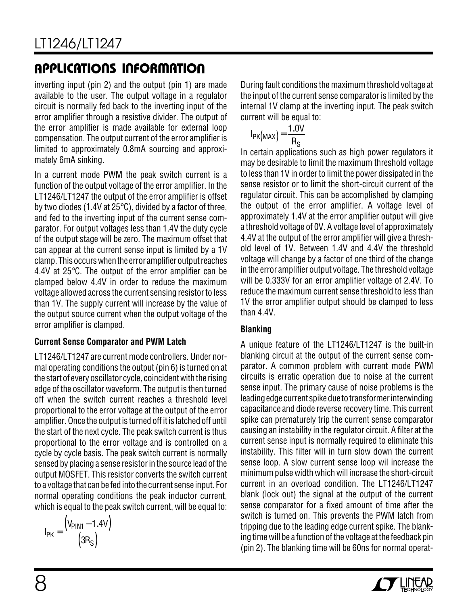# **U A S O PPLICATI W U U I FOR ATIO**

inverting input (pin 2) and the output (pin 1) are made available to the user. The output voltage in a regulator circuit is normally fed back to the inverting input of the error amplifier through a resistive divider. The output of the error amplifier is made available for external loop compensation. The output current of the error amplifier is limited to approximately 0.8mA sourcing and approximately 6mA sinking.

In a current mode PWM the peak switch current is a function of the output voltage of the error amplifier. In the LT1246/LT1247 the output of the error amplifier is offset by two diodes (1.4V at 25°C), divided by a factor of three, and fed to the inverting input of the current sense comparator. For output voltages less than 1.4V the duty cycle of the output stage will be zero. The maximum offset that can appear at the current sense input is limited by a 1V clamp. This occurs when the error amplifier output reaches 4.4V at 25°C. The output of the error amplifier can be clamped below 4.4V in order to reduce the maximum voltage allowed across the current sensing resistor to less than 1V. The supply current will increase by the value of the output source current when the output voltage of the error amplifier is clamped.

### **Current Sense Comparator and PWM Latch**

LT1246/LT1247 are current mode controllers. Under normal operating conditions the output (pin 6) is turned on at the start of every oscillator cycle, coincident with the rising edge of the oscillator waveform. The output is then turned off when the switch current reaches a threshold level proportional to the error voltage at the output of the error amplifier. Once the output is turned off it is latched off until the start of the next cycle. The peak switch current is thus proportional to the error voltage and is controlled on a cycle by cycle basis. The peak switch current is normally sensed by placing a sense resistor in the source lead of the output MOSFET. This resistor converts the switch current to a voltage that can be fed into the current sense input. For normal operating conditions the peak inductor current, which is equal to the peak switch current, will be equal to:

$$
I_{PK} = \frac{\left(V_{PIN1} - 1.4V\right)}{\left(3R_S\right)}
$$

During fault conditions the maximum threshold voltage at the input of the current sense comparator is limited by the internal 1V clamp at the inverting input. The peak switch current will be equal to:

$$
I_{PK\left(MAX\right)} = \frac{1.0V}{R_S}
$$

In certain applications such as high power regulators it may be desirable to limit the maximum threshold voltage to less than 1V in order to limit the power dissipated in the sense resistor or to limit the short-circuit current of the regulator circuit. This can be accomplished by clamping the output of the error amplifier. A voltage level of approximately 1.4V at the error amplifier output will give a threshold voltage of 0V. A voltage level of approximately 4.4V at the output of the error amplifier will give a threshold level of 1V. Between 1.4V and 4.4V the threshold voltage will change by a factor of one third of the change in the error amplifier output voltage. The threshold voltage will be 0.333V for an error amplifier voltage of 2.4V. To reduce the maximum current sense threshold to less than 1V the error amplifier output should be clamped to less than 4.4V.

### **Blanking**

A unique feature of the LT1246/LT1247 is the built-in blanking circuit at the output of the current sense comparator. A common problem with current mode PWM circuits is erratic operation due to noise at the current sense input. The primary cause of noise problems is the leading edge current spike due to transformer interwinding capacitance and diode reverse recovery time. This current spike can prematurely trip the current sense comparator causing an instability in the regulator circuit. A filter at the current sense input is normally required to eliminate this instability. This filter will in turn slow down the current sense loop. A slow current sense loop wil increase the minimum pulse width which will increase the short-circuit current in an overload condition. The LT1246/LT1247 blank (lock out) the signal at the output of the current sense comparator for a fixed amount of time after the switch is turned on. This prevents the PWM latch from tripping due to the leading edge current spike. The blanking time will be a function of the voltage at the feedback pin (pin 2). The blanking time will be 60ns for normal operat-

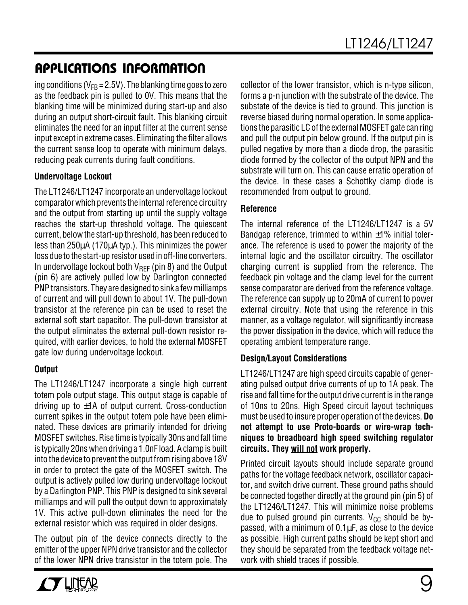## **U A S O PPLICATI W U U I FOR ATIO**

ing conditions ( $V_{FR}$  = 2.5V). The blanking time goes to zero as the feedback pin is pulled to 0V. This means that the blanking time will be minimized during start-up and also during an output short-circuit fault. This blanking circuit eliminates the need for an input filter at the current sense input except in extreme cases. Eliminating the filter allows the current sense loop to operate with minimum delays, reducing peak currents during fault conditions.

### **Undervoltage Lockout**

The LT1246/LT1247 incorporate an undervoltage lockout comparator which prevents the internal reference circuitry and the output from starting up until the supply voltage reaches the start-up threshold voltage. The quiescent current, below the start-up threshold, has been reduced to less than 250µA (170µA typ.). This minimizes the power loss due to the start-up resistor used in off-line converters. In undervoltage lockout both  $V_{REF}$  (pin 8) and the Output (pin 6) are actively pulled low by Darlington connected PNP transistors. They are designed to sink a few milliamps of current and will pull down to about 1V. The pull-down transistor at the reference pin can be used to reset the external soft start capacitor. The pull-down transistor at the output eliminates the external pull-down resistor required, with earlier devices, to hold the external MOSFET gate low during undervoltage lockout.

### **Output**

The LT1246/LT1247 incorporate a single high current totem pole output stage. This output stage is capable of driving up to  $\pm$ 1A of output current. Cross-conduction current spikes in the output totem pole have been eliminated. These devices are primarily intended for driving MOSFET switches. Rise time is typically 30ns and fall time is typically 20ns when driving a 1.0nF load. A clamp is built into the device to prevent the output from rising above 18V in order to protect the gate of the MOSFET switch. The output is actively pulled low during undervoltage lockout by a Darlington PNP. This PNP is designed to sink several milliamps and will pull the output down to approximately 1V. This active pull-down eliminates the need for the external resistor which was required in older designs.

The output pin of the device connects directly to the emitter of the upper NPN drive transistor and the collector of the lower NPN drive transistor in the totem pole. The



### **Reference**

The internal reference of the LT1246/LT1247 is a 5V Bandgap reference, trimmed to within  $\pm 1\%$  initial tolerance. The reference is used to power the majority of the internal logic and the oscillator circuitry. The oscillator charging current is supplied from the reference. The feedback pin voltage and the clamp level for the current sense comparator are derived from the reference voltage. The reference can supply up to 20mA of current to power external circuitry. Note that using the reference in this manner, as a voltage regulator, will significantly increase the power dissipation in the device, which will reduce the operating ambient temperature range.

### **Design/Layout Considerations**

LT1246/LT1247 are high speed circuits capable of generating pulsed output drive currents of up to 1A peak. The rise and fall time for the output drive current is in the range of 10ns to 20ns. High Speed circuit layout techniques must be used to insure proper operation of the devices. **Do not attempt to use Proto-boards or wire-wrap techniques to breadboard high speed switching regulator circuits. They will not work properly.**

Printed circuit layouts should include separate ground paths for the voltage feedback network, oscillator capacitor, and switch drive current. These ground paths should be connected together directly at the ground pin (pin 5) of the LT1246/LT1247. This will minimize noise problems due to pulsed ground pin currents.  $V_{CC}$  should be bypassed, with a minimum of  $0.1\mu$ F, as close to the device as possible. High current paths should be kept short and they should be separated from the feedback voltage network with shield traces if possible.

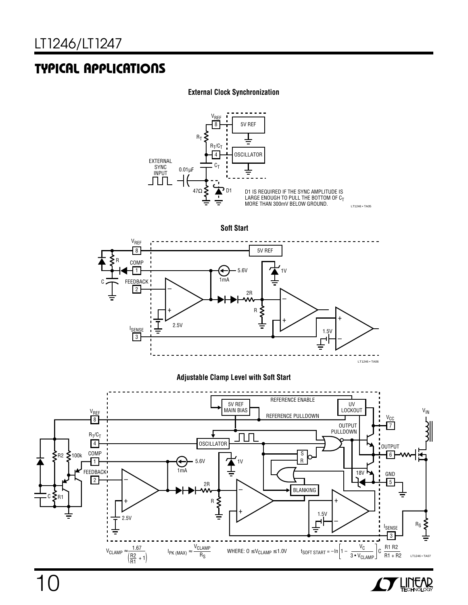### **U A S O TYPICAL PPLICATI**

#### **External Clock Synchronization**



**THREAD** 

10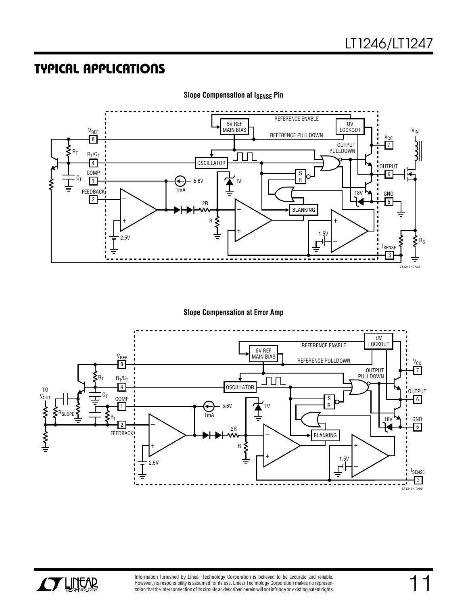### **U A S O TYPICAL PPLICATI**



**Slope Compensation at ISENSE Pin** 

**Slope Compensation at Error Amp**